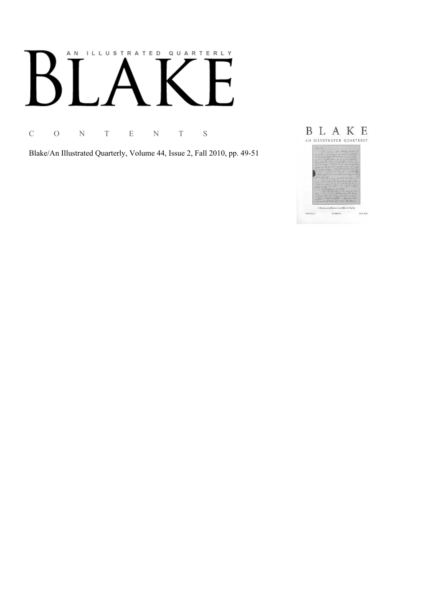# AN ILLUSTRATED QUARTERLY

C O N T E N T S

Blake/An Illustrated Quarterly, Volume 44, Issue 2, Fall 2010, pp. 49-51

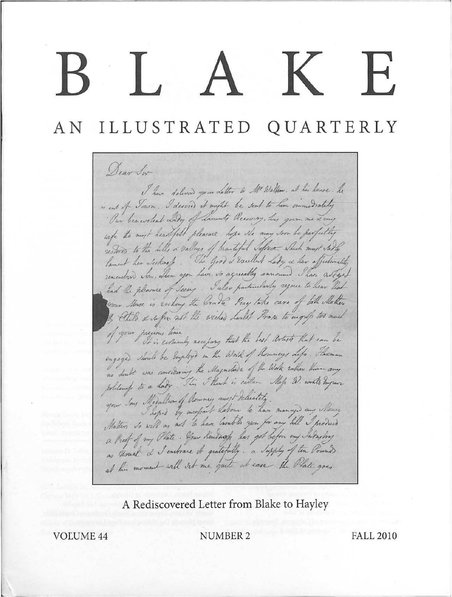## IAKE.

AN ILLUSTRATED QUARTERLY

Dear Sir I have delivered your Letter to Mr Walklow. at his house. he is out of Town. I desired it might be sent to him immediately · Our benevolent Lady of Lawants Recovery, has gun me & my wife the most heartfult pleasure hope the may soon be perfutily restores to the hills & valleys of brantiful Sefect which must stady<br>lament her secknap. The Good & railled have a her affectionelity<br>remembers Son, whom you have so agreeably announed. These notiged had the pleasure of seeing. Into particularly rejoine to hear Not nan Muse is rocking the bradle Peay take care of both Mother of your precious time , accepany that the best artists that can be engaged should be Employed in the Work of Rominaus Life. Flaxman no doubt was considering the Magnetieve of the Work rather than any contemp to a headlier of hommey most deliately. a Proof of my Plate. Your Kendnop has got before my Industry as Usual & I entrace it gratefully. a Supply of ten Pound at his moment will set me gut at ease the Plate goes

A Rediscovered Letter from Blake to Hayley

VOIUME44 NUMBER2 FALL 2010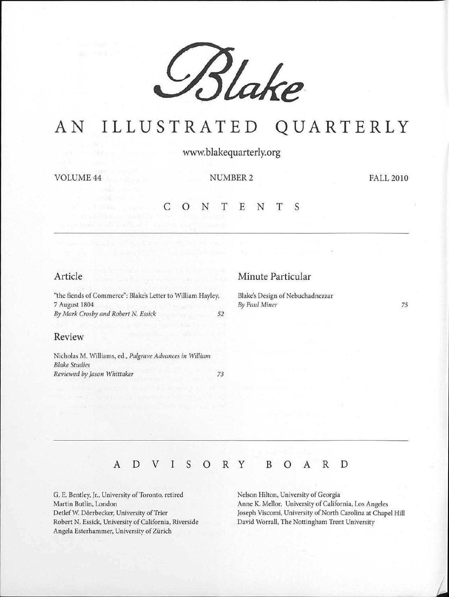

## AN ILLUSTRATED QUARTERLY

www.blakequarterly.org

VOLUME 44 NUMBER 2

FALL 2010

## c <sup>0</sup>N T E N T s

#### Article

"the fiends of Commerce": Blake's Letter to William Hayley, 7 August 1804 *By Mark Crosby and Robert* N. *Essick 52* 

## Review

Nicholas M. Williams, ed., *Palgrave Advances in William Blake Studies Reviewed by Jason Whittaker 73* 

#### Minute Particular

Blake's Design of Nebuchadnezzar *By Paul Miner* 

*75* 

### A D V I s 0 R y B 0 A R D

G. E. Bentley, Jr., University of Toronto, retired Martin Butlin, London Detlef W. Dörrbecker, University of Trier Robert N. Essick, University of California, Riverside Angela Esterhammer, University of Zürich

Nelson Hilton, University of Georgia Anne K. Mellor, University of California, Los Angeles Joseph Viscomi, University of North Carolina at Chapel Hill David Worrall, The Nottingham Trent University